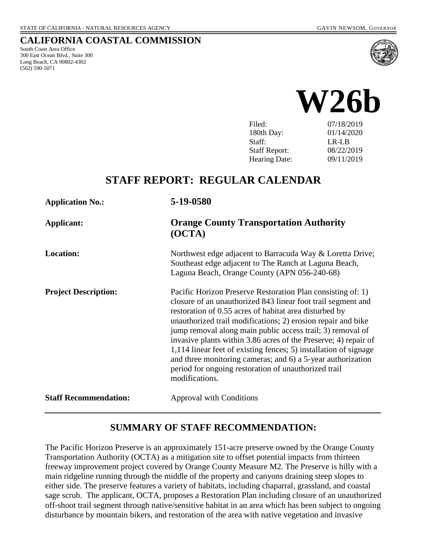### **CALIFORNIA COASTAL COMMISSION**

South Coast Area Office 300 East Ocean Blvd., Suite 300 Long Beach, CA 90802-4302 (562) 590-5071





| Filed:               | 07/18/2019 |
|----------------------|------------|
| 180th Day:           | 01/14/2020 |
| Staff:               | LR-LB      |
| <b>Staff Report:</b> | 08/22/2019 |
| <b>Hearing Date:</b> | 09/11/2019 |
|                      |            |

# **STAFF REPORT: REGULAR CALENDAR**

| <b>Application No.:</b>      | 5-19-0580                                                                                                                                                                                                                                                                                                                                                                                                                                                                                                                                                                                           |
|------------------------------|-----------------------------------------------------------------------------------------------------------------------------------------------------------------------------------------------------------------------------------------------------------------------------------------------------------------------------------------------------------------------------------------------------------------------------------------------------------------------------------------------------------------------------------------------------------------------------------------------------|
| <b>Applicant:</b>            | <b>Orange County Transportation Authority</b><br>(OCTA)                                                                                                                                                                                                                                                                                                                                                                                                                                                                                                                                             |
| <b>Location:</b>             | Northwest edge adjacent to Barracuda Way & Loretta Drive;<br>Southeast edge adjacent to The Ranch at Laguna Beach,<br>Laguna Beach, Orange County (APN 056-240-68)                                                                                                                                                                                                                                                                                                                                                                                                                                  |
| <b>Project Description:</b>  | Pacific Horizon Preserve Restoration Plan consisting of: 1)<br>closure of an unauthorized 843 linear foot trail segment and<br>restoration of 0.55 acres of habitat area disturbed by<br>unauthorized trail modifications; 2) erosion repair and bike<br>jump removal along main public access trail; 3) removal of<br>invasive plants within 3.86 acres of the Preserve; 4) repair of<br>1,114 linear feet of existing fences; 5) installation of signage<br>and three monitoring cameras; and 6) a 5-year authorization<br>period for ongoing restoration of unauthorized trail<br>modifications. |
| <b>Staff Recommendation:</b> | <b>Approval with Conditions</b>                                                                                                                                                                                                                                                                                                                                                                                                                                                                                                                                                                     |

## **SUMMARY OF STAFF RECOMMENDATION:**

The Pacific Horizon Preserve is an approximately 151-acre preserve owned by the Orange County Transportation Authority (OCTA) as a mitigation site to offset potential impacts from thirteen freeway improvement project covered by Orange County Measure M2. The Preserve is hilly with a main ridgeline running through the middle of the property and canyons draining steep slopes to either side. The preserve features a variety of habitats, including chaparral, grassland, and coastal sage scrub. The applicant, OCTA, proposes a Restoration Plan including closure of an unauthorized off-shoot trail segment through native/sensitive habitat in an area which has been subject to ongoing disturbance by mountain bikers, and restoration of the area with native vegetation and invasive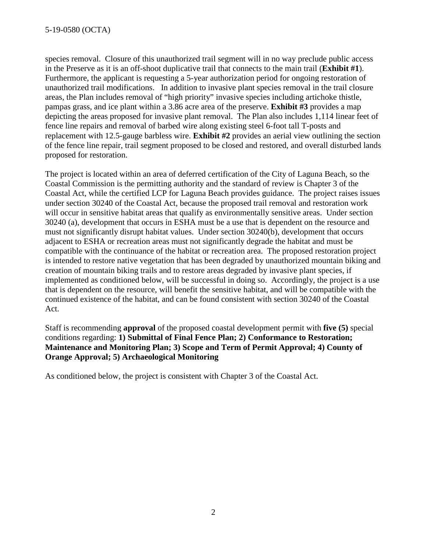species removal. Closure of this unauthorized trail segment will in no way preclude public access in the Preserve as it is an off-shoot duplicative trail that connects to the main trail (**Exhibit #1**). Furthermore, the applicant is requesting a 5-year authorization period for ongoing restoration of unauthorized trail modifications. In addition to invasive plant species removal in the trail closure areas, the Plan includes removal of "high priority" invasive species including artichoke thistle, pampas grass, and ice plant within a 3.86 acre area of the preserve. **Exhibit #3** provides a map depicting the areas proposed for invasive plant removal. The Plan also includes 1,114 linear feet of fence line repairs and removal of barbed wire along existing steel 6-foot tall T-posts and replacement with 12.5-gauge barbless wire. **Exhibit #2** provides an aerial view outlining the section of the fence line repair, trail segment proposed to be closed and restored, and overall disturbed lands proposed for restoration.

The project is located within an area of deferred certification of the City of Laguna Beach, so the Coastal Commission is the permitting authority and the standard of review is Chapter 3 of the Coastal Act, while the certified LCP for Laguna Beach provides guidance. The project raises issues under section 30240 of the Coastal Act, because the proposed trail removal and restoration work will occur in sensitive habitat areas that qualify as environmentally sensitive areas. Under section 30240 (a), development that occurs in ESHA must be a use that is dependent on the resource and must not significantly disrupt habitat values. Under section 30240(b), development that occurs adjacent to ESHA or recreation areas must not significantly degrade the habitat and must be compatible with the continuance of the habitat or recreation area. The proposed restoration project is intended to restore native vegetation that has been degraded by unauthorized mountain biking and creation of mountain biking trails and to restore areas degraded by invasive plant species, if implemented as conditioned below, will be successful in doing so. Accordingly, the project is a use that is dependent on the resource, will benefit the sensitive habitat, and will be compatible with the continued existence of the habitat, and can be found consistent with section 30240 of the Coastal Act.

Staff is recommending **approval** of the proposed coastal development permit with **five (5)** special conditions regarding: **1) Submittal of Final Fence Plan; 2) Conformance to Restoration; Maintenance and Monitoring Plan; 3) Scope and Term of Permit Approval; 4) County of Orange Approval; 5) Archaeological Monitoring** 

As conditioned below, the project is consistent with Chapter 3 of the Coastal Act.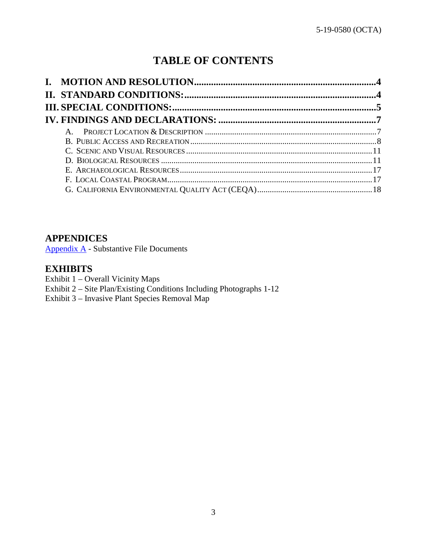# **TABLE OF CONTENTS**

## **APPENDICES**

[Appendix A](#page-18-0) - Substantive File Documents

## **EXHIBITS**

- Exhibit 1 Overall Vicinity Maps
- [Exhibit 2 Site Plan/Existing Conditions Including Photographs 1-12](https://documents.coastal.ca.gov/reports/2019/9/W26b/W26b-9-2019-exhibits.pdf)
- Exhibit 3 Invasive Plant Species Removal Map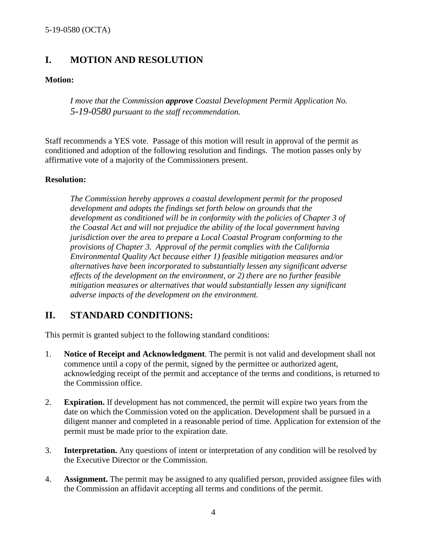## <span id="page-3-0"></span>**I. MOTION AND RESOLUTION**

### **Motion:**

*I move that the Commission approve Coastal Development Permit Application No. 5-19-0580 pursuant to the staff recommendation.*

Staff recommends a YES vote. Passage of this motion will result in approval of the permit as conditioned and adoption of the following resolution and findings. The motion passes only by affirmative vote of a majority of the Commissioners present.

### **Resolution:**

*The Commission hereby approves a coastal development permit for the proposed development and adopts the findings set forth below on grounds that the development as conditioned will be in conformity with the policies of Chapter 3 of the Coastal Act and will not prejudice the ability of the local government having jurisdiction over the area to prepare a Local Coastal Program conforming to the provisions of Chapter 3. Approval of the permit complies with the California Environmental Quality Act because either 1) feasible mitigation measures and/or alternatives have been incorporated to substantially lessen any significant adverse effects of the development on the environment, or 2) there are no further feasible mitigation measures or alternatives that would substantially lessen any significant adverse impacts of the development on the environment.* 

## <span id="page-3-1"></span>**II. STANDARD CONDITIONS:**

This permit is granted subject to the following standard conditions:

- 1. **Notice of Receipt and Acknowledgment**. The permit is not valid and development shall not commence until a copy of the permit, signed by the permittee or authorized agent, acknowledging receipt of the permit and acceptance of the terms and conditions, is returned to the Commission office.
- 2. **Expiration.** If development has not commenced, the permit will expire two years from the date on which the Commission voted on the application. Development shall be pursued in a diligent manner and completed in a reasonable period of time. Application for extension of the permit must be made prior to the expiration date.
- 3. **Interpretation.** Any questions of intent or interpretation of any condition will be resolved by the Executive Director or the Commission.
- 4. **Assignment.** The permit may be assigned to any qualified person, provided assignee files with the Commission an affidavit accepting all terms and conditions of the permit.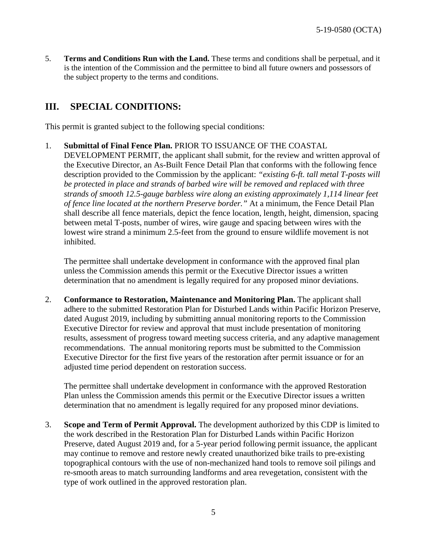5. **Terms and Conditions Run with the Land.** These terms and conditions shall be perpetual, and it is the intention of the Commission and the permittee to bind all future owners and possessors of the subject property to the terms and conditions.

## <span id="page-4-0"></span>**III. SPECIAL CONDITIONS:**

This permit is granted subject to the following special conditions:

1. **Submittal of Final Fence Plan.** PRIOR TO ISSUANCE OF THE COASTAL DEVELOPMENT PERMIT, the applicant shall submit, for the review and written approval of the Executive Director, an As-Built Fence Detail Plan that conforms with the following fence description provided to the Commission by the applicant: *"existing 6-ft. tall metal T-posts will be protected in place and strands of barbed wire will be removed and replaced with three strands of smooth 12.5-gauge barbless wire along an existing approximately 1,114 linear feet of fence line located at the northern Preserve border."* At a minimum, the Fence Detail Plan shall describe all fence materials, depict the fence location, length, height, dimension, spacing between metal T-posts, number of wires, wire gauge and spacing between wires with the lowest wire strand a minimum 2.5-feet from the ground to ensure wildlife movement is not inhibited.

The permittee shall undertake development in conformance with the approved final plan unless the Commission amends this permit or the Executive Director issues a written determination that no amendment is legally required for any proposed minor deviations.

2. **Conformance to Restoration, Maintenance and Monitoring Plan.** The applicant shall adhere to the submitted Restoration Plan for Disturbed Lands within Pacific Horizon Preserve, dated August 2019, including by submitting annual monitoring reports to the Commission Executive Director for review and approval that must include presentation of monitoring results, assessment of progress toward meeting success criteria, and any adaptive management recommendations. The annual monitoring reports must be submitted to the Commission Executive Director for the first five years of the restoration after permit issuance or for an adjusted time period dependent on restoration success.

The permittee shall undertake development in conformance with the approved Restoration Plan unless the Commission amends this permit or the Executive Director issues a written determination that no amendment is legally required for any proposed minor deviations.

3. **Scope and Term of Permit Approval.** The development authorized by this CDP is limited to the work described in the Restoration Plan for Disturbed Lands within Pacific Horizon Preserve, dated August 2019 and, for a 5-year period following permit issuance, the applicant may continue to remove and restore newly created unauthorized bike trails to pre-existing topographical contours with the use of non-mechanized hand tools to remove soil pilings and re-smooth areas to match surrounding landforms and area revegetation, consistent with the type of work outlined in the approved restoration plan.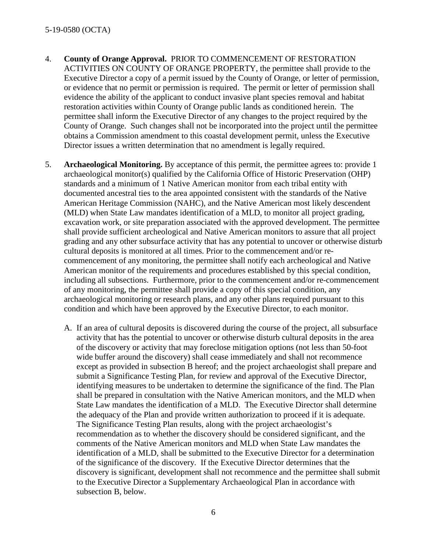- 4. **County of Orange Approval.** PRIOR TO COMMENCEMENT OF RESTORATION ACTIVITIES ON COUNTY OF ORANGE PROPERTY, the permittee shall provide to the Executive Director a copy of a permit issued by the County of Orange, or letter of permission, or evidence that no permit or permission is required. The permit or letter of permission shall evidence the ability of the applicant to conduct invasive plant species removal and habitat restoration activities within County of Orange public lands as conditioned herein. The permittee shall inform the Executive Director of any changes to the project required by the County of Orange. Such changes shall not be incorporated into the project until the permittee obtains a Commission amendment to this coastal development permit, unless the Executive Director issues a written determination that no amendment is legally required.
- 5. **Archaeological Monitoring.** By acceptance of this permit, the permittee agrees to: provide 1 archaeological monitor(s) qualified by the California Office of Historic Preservation (OHP) standards and a minimum of 1 Native American monitor from each tribal entity with documented ancestral ties to the area appointed consistent with the standards of the Native American Heritage Commission (NAHC), and the Native American most likely descendent (MLD) when State Law mandates identification of a MLD, to monitor all project grading, excavation work, or site preparation associated with the approved development. The permittee shall provide sufficient archeological and Native American monitors to assure that all project grading and any other subsurface activity that has any potential to uncover or otherwise disturb cultural deposits is monitored at all times. Prior to the commencement and/or recommencement of any monitoring, the permittee shall notify each archeological and Native American monitor of the requirements and procedures established by this special condition, including all subsections. Furthermore, prior to the commencement and/or re-commencement of any monitoring, the permittee shall provide a copy of this special condition, any archaeological monitoring or research plans, and any other plans required pursuant to this condition and which have been approved by the Executive Director, to each monitor.
	- A. If an area of cultural deposits is discovered during the course of the project, all subsurface activity that has the potential to uncover or otherwise disturb cultural deposits in the area of the discovery or activity that may foreclose mitigation options (not less than 50-foot wide buffer around the discovery) shall cease immediately and shall not recommence except as provided in subsection B hereof; and the project archaeologist shall prepare and submit a Significance Testing Plan, for review and approval of the Executive Director, identifying measures to be undertaken to determine the significance of the find. The Plan shall be prepared in consultation with the Native American monitors, and the MLD when State Law mandates the identification of a MLD. The Executive Director shall determine the adequacy of the Plan and provide written authorization to proceed if it is adequate. The Significance Testing Plan results, along with the project archaeologist's recommendation as to whether the discovery should be considered significant, and the comments of the Native American monitors and MLD when State Law mandates the identification of a MLD, shall be submitted to the Executive Director for a determination of the significance of the discovery. If the Executive Director determines that the discovery is significant, development shall not recommence and the permittee shall submit to the Executive Director a Supplementary Archaeological Plan in accordance with subsection B, below.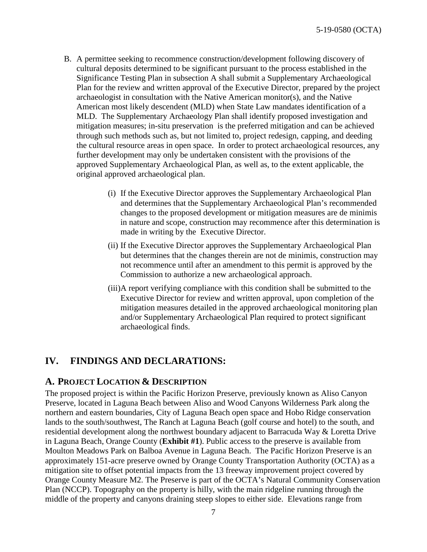- B. A permittee seeking to recommence construction/development following discovery of cultural deposits determined to be significant pursuant to the process established in the Significance Testing Plan in subsection A shall submit a Supplementary Archaeological Plan for the review and written approval of the Executive Director, prepared by the project archaeologist in consultation with the Native American monitor(s), and the Native American most likely descendent (MLD) when State Law mandates identification of a MLD. The Supplementary Archaeology Plan shall identify proposed investigation and mitigation measures; in-situ preservation is the preferred mitigation and can be achieved through such methods such as, but not limited to, project redesign, capping, and deeding the cultural resource areas in open space. In order to protect archaeological resources, any further development may only be undertaken consistent with the provisions of the approved Supplementary Archaeological Plan, as well as, to the extent applicable, the original approved archaeological plan.
	- (i) If the Executive Director approves the Supplementary Archaeological Plan and determines that the Supplementary Archaeological Plan's recommended changes to the proposed development or mitigation measures are de minimis in nature and scope, construction may recommence after this determination is made in writing by the Executive Director.
	- (ii) If the Executive Director approves the Supplementary Archaeological Plan but determines that the changes therein are not de minimis, construction may not recommence until after an amendment to this permit is approved by the Commission to authorize a new archaeological approach.
	- (iii)A report verifying compliance with this condition shall be submitted to the Executive Director for review and written approval, upon completion of the mitigation measures detailed in the approved archaeological monitoring plan and/or Supplementary Archaeological Plan required to protect significant archaeological finds.

## <span id="page-6-0"></span>**IV. FINDINGS AND DECLARATIONS:**

### <span id="page-6-1"></span>**A. PROJECT LOCATION & DESCRIPTION**

The proposed project is within the Pacific Horizon Preserve, previously known as Aliso Canyon Preserve, located in Laguna Beach between Aliso and Wood Canyons Wilderness Park along the northern and eastern boundaries, City of Laguna Beach open space and Hobo Ridge conservation lands to the south/southwest, The Ranch at Laguna Beach (golf course and hotel) to the south, and residential development along the northwest boundary adjacent to Barracuda Way & Loretta Drive in Laguna Beach, Orange County (**[Exhibit #1](https://documents.coastal.ca.gov/reports/2019/9/W26b/W26b-9-2019-exhibits.pdf)**). Public access to the preserve is available from Moulton Meadows Park on Balboa Avenue in Laguna Beach. The Pacific Horizon Preserve is an approximately 151-acre preserve owned by Orange County Transportation Authority (OCTA) as a mitigation site to offset potential impacts from the 13 freeway improvement project covered by Orange County Measure M2. The Preserve is part of the OCTA's Natural Community Conservation Plan (NCCP). Topography on the property is hilly, with the main ridgeline running through the middle of the property and canyons draining steep slopes to either side. Elevations range from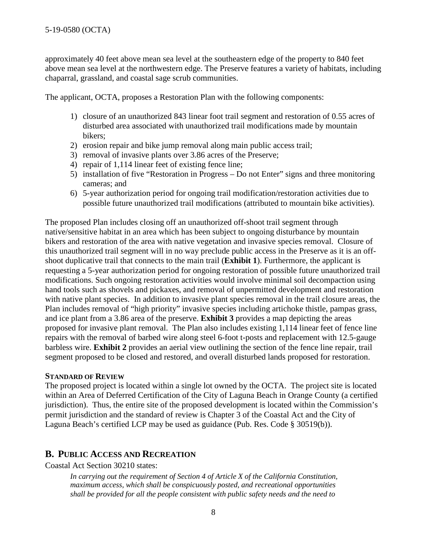approximately 40 feet above mean sea level at the southeastern edge of the property to 840 feet above mean sea level at the northwestern edge. The Preserve features a variety of habitats, including chaparral, grassland, and coastal sage scrub communities.

The applicant, OCTA, proposes a Restoration Plan with the following components:

- 1) closure of an unauthorized 843 linear foot trail segment and restoration of 0.55 acres of disturbed area associated with unauthorized trail modifications made by mountain bikers;
- 2) erosion repair and bike jump removal along main public access trail;
- 3) removal of invasive plants over 3.86 acres of the Preserve;
- 4) repair of 1,114 linear feet of existing fence line;
- 5) installation of five "Restoration in Progress Do not Enter" signs and three monitoring cameras; and
- 6) 5-year authorization period for ongoing trail modification/restoration activities due to possible future unauthorized trail modifications (attributed to mountain bike activities).

The proposed Plan includes closing off an unauthorized off-shoot trail segment through native/sensitive habitat in an area which has been subject to ongoing disturbance by mountain bikers and restoration of the area with native vegetation and invasive species removal. Closure of this unauthorized trail segment will in no way preclude public access in the Preserve as it is an offshoot duplicative trail that connects to the main trail (**[Exhibit 1](https://documents.coastal.ca.gov/reports/2019/9/W26b/W26b-9-2019-exhibits.pdf)**). Furthermore, the applicant is requesting a 5-year authorization period for ongoing restoration of possible future unauthorized trail modifications. Such ongoing restoration activities would involve minimal soil decompaction using hand tools such as shovels and pickaxes, and removal of unpermitted development and restoration with native plant species. In addition to invasive plant species removal in the trail closure areas, the Plan includes removal of "high priority" invasive species including artichoke thistle, pampas grass, and ice plant from a 3.86 area of the preserve. **[Exhibit 3](https://documents.coastal.ca.gov/reports/2019/9/W26b/W26b-9-2019-exhibits.pdf)** provides a map depicting the areas proposed for invasive plant removal. The Plan also includes existing 1,114 linear feet of fence line repairs with the removal of barbed wire along steel 6-foot t-posts and replacement with 12.5-gauge barbless wire. **[Exhibit 2](https://documents.coastal.ca.gov/reports/2019/9/W26b/W26b-9-2019-exhibits.pdf)** provides an aerial view outlining the section of the fence line repair, trail segment proposed to be closed and restored, and overall disturbed lands proposed for restoration.

### **STANDARD OF REVIEW**

The proposed project is located within a single lot owned by the OCTA. The project site is located within an Area of Deferred Certification of the City of Laguna Beach in Orange County (a certified jurisdiction). Thus, the entire site of the proposed development is located within the Commission's permit jurisdiction and the standard of review is Chapter 3 of the Coastal Act and the City of Laguna Beach's certified LCP may be used as guidance (Pub. Res. Code § 30519(b)).

### <span id="page-7-0"></span>**B. PUBLIC ACCESS AND RECREATION**

Coastal Act Section 30210 states:

*In carrying out the requirement of Section 4 of Article X of the California Constitution, maximum access, which shall be conspicuously posted, and recreational opportunities shall be provided for all the people consistent with public safety needs and the need to*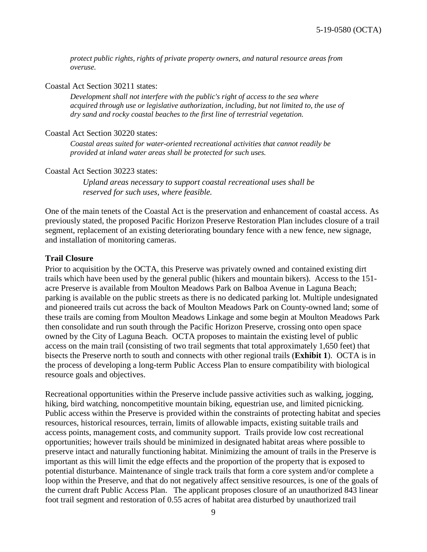*protect public rights, rights of private property owners, and natural resource areas from overuse.*

Coastal Act Section 30211 states:

*Development shall not interfere with the public's right of access to the sea where acquired through use or legislative authorization, including, but not limited to, the use of dry sand and rocky coastal beaches to the first line of terrestrial vegetation.*

#### Coastal Act Section 30220 states:

*Coastal areas suited for water-oriented recreational activities that cannot readily be provided at inland water areas shall be protected for such uses.* 

Coastal Act Section 30223 states:

*Upland areas necessary to support coastal recreational uses shall be reserved for such uses, where feasible.*

One of the main tenets of the Coastal Act is the preservation and enhancement of coastal access. As previously stated, the proposed Pacific Horizon Preserve Restoration Plan includes closure of a trail segment, replacement of an existing deteriorating boundary fence with a new fence, new signage, and installation of monitoring cameras.

### **Trail Closure**

Prior to acquisition by the OCTA, this Preserve was privately owned and contained existing dirt trails which have been used by the general public (hikers and mountain bikers). Access to the 151 acre Preserve is available from Moulton Meadows Park on Balboa Avenue in Laguna Beach; parking is available on the public streets as there is no dedicated parking lot. Multiple undesignated and pioneered trails cut across the back of Moulton Meadows Park on County-owned land; some of these trails are coming from Moulton Meadows Linkage and some begin at Moulton Meadows Park then consolidate and run south through the Pacific Horizon Preserve, crossing onto open space owned by the City of Laguna Beach. OCTA proposes to maintain the existing level of public access on the main trail (consisting of two trail segments that total approximately 1,650 feet) that bisects the Preserve north to south and connects with other regional trails (**[Exhibit 1](https://documents.coastal.ca.gov/reports/2019/9/W26b/W26b-9-2019-exhibits.pdf)**). OCTA is in the process of developing a long-term Public Access Plan to ensure compatibility with biological resource goals and objectives.

Recreational opportunities within the Preserve include passive activities such as walking, jogging, hiking, bird watching, noncompetitive mountain biking, equestrian use, and limited picnicking. Public access within the Preserve is provided within the constraints of protecting habitat and species resources, historical resources, terrain, limits of allowable impacts, existing suitable trails and access points, management costs, and community support. Trails provide low cost recreational opportunities; however trails should be minimized in designated habitat areas where possible to preserve intact and naturally functioning habitat. Minimizing the amount of trails in the Preserve is important as this will limit the edge effects and the proportion of the property that is exposed to potential disturbance. Maintenance of single track trails that form a core system and/or complete a loop within the Preserve, and that do not negatively affect sensitive resources, is one of the goals of the current draft Public Access Plan. The applicant proposes closure of an unauthorized 843 linear foot trail segment and restoration of 0.55 acres of habitat area disturbed by unauthorized trail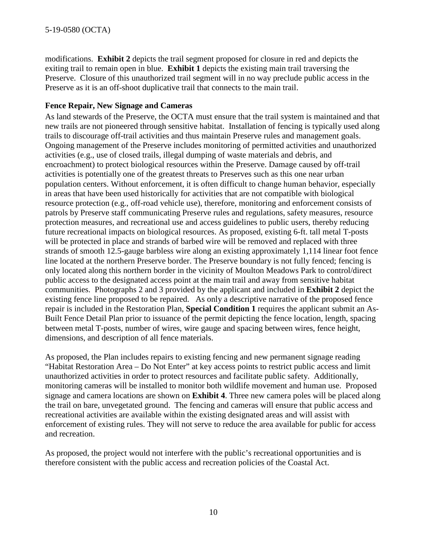modifications. **[Exhibit 2](https://documents.coastal.ca.gov/reports/2019/9/W26b/W26b-9-2019-exhibits.pdf)** depicts the trail segment proposed for closure in red and depicts the exiting trail to remain open in blue. **[Exhibit 1](https://documents.coastal.ca.gov/reports/2019/9/W26b/W26b-9-2019-exhibits.pdf)** depicts the existing main trail traversing the Preserve. Closure of this unauthorized trail segment will in no way preclude public access in the Preserve as it is an off-shoot duplicative trail that connects to the main trail.

### **Fence Repair, New Signage and Cameras**

As land stewards of the Preserve, the OCTA must ensure that the trail system is maintained and that new trails are not pioneered through sensitive habitat. Installation of fencing is typically used along trails to discourage off-trail activities and thus maintain Preserve rules and management goals. Ongoing management of the Preserve includes monitoring of permitted activities and unauthorized activities (e.g., use of closed trails, illegal dumping of waste materials and debris, and encroachment) to protect biological resources within the Preserve. Damage caused by off-trail activities is potentially one of the greatest threats to Preserves such as this one near urban population centers. Without enforcement, it is often difficult to change human behavior, especially in areas that have been used historically for activities that are not compatible with biological resource protection (e.g., off-road vehicle use), therefore, monitoring and enforcement consists of patrols by Preserve staff communicating Preserve rules and regulations, safety measures, resource protection measures, and recreational use and access guidelines to public users, thereby reducing future recreational impacts on biological resources. As proposed, existing 6-ft. tall metal T-posts will be protected in place and strands of barbed wire will be removed and replaced with three strands of smooth 12.5-gauge barbless wire along an existing approximately 1,114 linear foot fence line located at the northern Preserve border. The Preserve boundary is not fully fenced; fencing is only located along this northern border in the vicinity of Moulton Meadows Park to control/direct public access to the designated access point at the main trail and away from sensitive habitat communities. Photographs 2 and 3 provided by the applicant and included in **[Exhibit 2](https://documents.coastal.ca.gov/reports/2019/9/W26b/W26b-9-2019-exhibits.pdf)** depict the existing fence line proposed to be repaired. As only a descriptive narrative of the proposed fence repair is included in the Restoration Plan, **Special Condition 1** requires the applicant submit an As-Built Fence Detail Plan prior to issuance of the permit depicting the fence location, length, spacing between metal T-posts, number of wires, wire gauge and spacing between wires, fence height, dimensions, and description of all fence materials.

As proposed, the Plan includes repairs to existing fencing and new permanent signage reading "Habitat Restoration Area – Do Not Enter" at key access points to restrict public access and limit unauthorized activities in order to protect resources and facilitate public safety. Additionally, monitoring cameras will be installed to monitor both wildlife movement and human use. Proposed signage and camera locations are shown on **[Exhibit 4](https://documents.coastal.ca.gov/reports/2019/9/W26b/W26b-9-2019-exhibits.pdf)**. Three new camera poles will be placed along the trail on bare, unvegetated ground. The fencing and cameras will ensure that public access and recreational activities are available within the existing designated areas and will assist with enforcement of existing rules. They will not serve to reduce the area available for public for access and recreation.

As proposed, the project would not interfere with the public's recreational opportunities and is therefore consistent with the public access and recreation policies of the Coastal Act.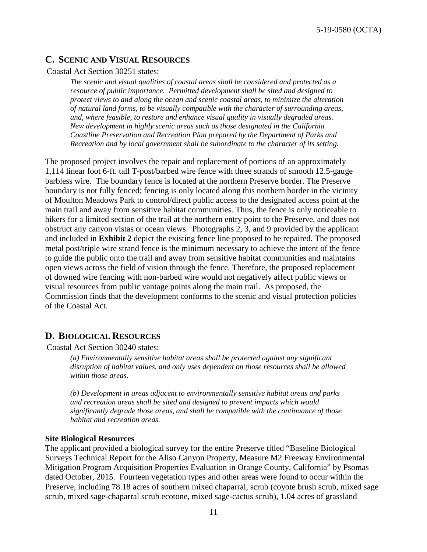### <span id="page-10-0"></span>**C. SCENIC AND VISUAL RESOURCES**

#### Coastal Act Section 30251 states:

*The scenic and visual qualities of coastal areas shall be considered and protected as a resource of public importance. Permitted development shall be sited and designed to protect views to and along the ocean and scenic coastal areas, to minimize the alteration of natural land forms, to be visually compatible with the character of surrounding areas, and, where feasible, to restore and enhance visual quality in visually degraded areas. New development in highly scenic areas such as those designated in the California Coastline Preservation and Recreation Plan prepared by the Department of Parks and Recreation and by local government shall be subordinate to the character of its setting.* 

The proposed project involves the repair and replacement of portions of an approximately 1,114 linear foot 6-ft. tall T-post/barbed wire fence with three strands of smooth 12.5-gauge barbless wire. The boundary fence is located at the northern Preserve border. The Preserve boundary is not fully fenced; fencing is only located along this northern border in the vicinity of Moulton Meadows Park to control/direct public access to the designated access point at the main trail and away from sensitive habitat communities. Thus, the fence is only noticeable to hikers for a limited section of the trail at the northern entry point to the Preserve, and does not obstruct any canyon vistas or ocean views. Photographs 2, 3, and 9 provided by the applicant and included in **[Exhibit 2](https://documents.coastal.ca.gov/reports/2019/9/W26b/W26b-9-2019-exhibits.pdf)** depict the existing fence line proposed to be repaired. The proposed metal post/triple wire strand fence is the minimum necessary to achieve the intent of the fence to guide the public onto the trail and away from sensitive habitat communities and maintains open views across the field of vision through the fence. Therefore, the proposed replacement of downed wire fencing with non-barbed wire would not negatively affect public views or visual resources from public vantage points along the main trail. As proposed, the Commission finds that the development conforms to the scenic and visual protection policies of the Coastal Act.

### <span id="page-10-1"></span>**D. BIOLOGICAL RESOURCES**

Coastal Act Section 30240 states:

*(a) Environmentally sensitive habitat areas shall be protected against any significant disruption of habitat values, and only uses dependent on those resources shall be allowed within those areas.*

*(b) Development in areas adjacent to environmentally sensitive habitat areas and parks and recreation areas shall be sited and designed to prevent impacts which would significantly degrade those areas, and shall be compatible with the continuance of those habitat and recreation areas.* 

#### **Site Biological Resources**

The applicant provided a biological survey for the entire Preserve titled "Baseline Biological Surveys Technical Report for the Aliso Canyon Property, Measure M2 Freeway Environmental Mitigation Program Acquisition Properties Evaluation in Orange County, California" by Psomas dated October, 2015. Fourteen vegetation types and other areas were found to occur within the Preserve, including 78.18 acres of southern mixed chaparral, scrub (coyote brush scrub, mixed sage scrub, mixed sage-chaparral scrub ecotone, mixed sage-cactus scrub), 1.04 acres of grassland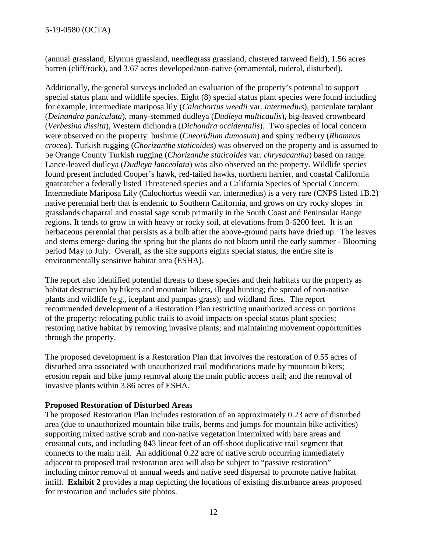(annual grassland, Elymus grassland, needlegrass grassland, clustered tarweed field), 1.56 acres barren (cliff/rock), and 3.67 acres developed/non-native (ornamental, ruderal, disturbed).

Additionally, the general surveys included an evaluation of the property's potential to support special status plant and wildlife species. Eight (8) special status plant species were found including for example, intermediate mariposa lily (*Calochortus weedii* var. *intermedius*), paniculate tarplant (*Deinandra paniculata*), many-stemmed dudleya (*Dudleya multicaulis*), big-leaved crownbeard (*Verbesina dissita*), Western dichondra (*Dichondra occidentalis*). Two species of local concern were observed on the property: bushrue (*Cneoridium dumosum*) and spiny redberry (*Rhamnus crocea*). Turkish rugging (*Chorizanthe staticoides*) was observed on the property and is assumed to be Orange County Turkish rugging (*Chorizanthe staticoides* var. *chrysacantha*) based on range. Lance-leaved dudleya (*Dudleya lanceolata*) was also observed on the property. Wildlife species found present included Cooper's hawk, red-tailed hawks, northern harrier, and coastal California gnatcatcher a federally listed Threatened species and a California Species of Special Concern. Intermediate Mariposa Lily (Calochortus weedii var. intermedius) is a very rare (CNPS listed 1B.2) native perennial herb that is endemic to Southern California, and grows on dry rocky slopes in grasslands chaparral and coastal sage scrub primarily in the South Coast and Peninsular Range regions. It tends to grow in with heavy or rocky soil, at elevations from 0-6200 feet. It is an herbaceous perennial that persists as a bulb after the above-ground parts have dried up. The leaves and stems emerge during the spring but the plants do not bloom until the early summer - Blooming period May to July. Overall, as the site supports eights special status, the entire site is environmentally sensitive habitat area (ESHA).

The report also identified potential threats to these species and their habitats on the property as habitat destruction by hikers and mountain bikers, illegal hunting; the spread of non-native plants and wildlife (e.g., iceplant and pampas grass); and wildland fires. The report recommended development of a Restoration Plan restricting unauthorized access on portions of the property; relocating public trails to avoid impacts on special status plant species; restoring native habitat by removing invasive plants; and maintaining movement opportunities through the property.

The proposed development is a Restoration Plan that involves the restoration of 0.55 acres of disturbed area associated with unauthorized trail modifications made by mountain bikers; erosion repair and bike jump removal along the main public access trail; and the removal of invasive plants within 3.86 acres of ESHA.

### **Proposed Restoration of Disturbed Areas**

The proposed Restoration Plan includes restoration of an approximately 0.23 acre of disturbed area (due to unauthorized mountain bike trails, berms and jumps for mountain bike activities) supporting mixed native scrub and non-native vegetation intermixed with bare areas and erosional cuts, and including 843 linear feet of an off-shoot duplicative trail segment that connects to the main trail. An additional 0.22 acre of native scrub occurring immediately adjacent to proposed trail restoration area will also be subject to "passive restoration" including minor removal of annual weeds and native seed dispersal to promote native habitat infill. **[Exhibit 2](https://documents.coastal.ca.gov/reports/2019/9/W26b/W26b-9-2019-exhibits.pdf)** provides a map depicting the locations of existing disturbance areas proposed for restoration and includes site photos.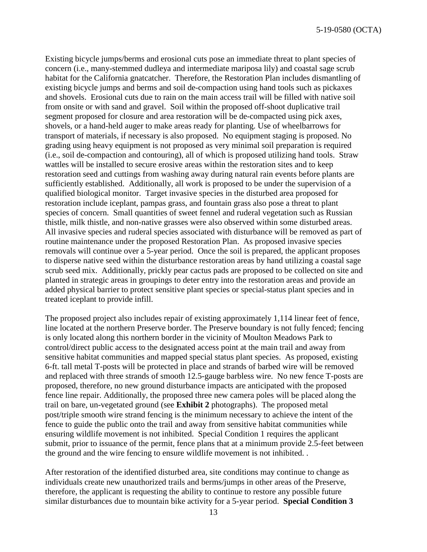Existing bicycle jumps/berms and erosional cuts pose an immediate threat to plant species of concern (i.e., many-stemmed dudleya and intermediate mariposa lily) and coastal sage scrub habitat for the California gnatcatcher. Therefore, the Restoration Plan includes dismantling of existing bicycle jumps and berms and soil de-compaction using hand tools such as pickaxes and shovels. Erosional cuts due to rain on the main access trail will be filled with native soil from onsite or with sand and gravel. Soil within the proposed off-shoot duplicative trail segment proposed for closure and area restoration will be de-compacted using pick axes, shovels, or a hand-held auger to make areas ready for planting. Use of wheelbarrows for transport of materials, if necessary is also proposed. No equipment staging is proposed. No grading using heavy equipment is not proposed as very minimal soil preparation is required (i.e., soil de-compaction and contouring), all of which is proposed utilizing hand tools. Straw wattles will be installed to secure erosive areas within the restoration sites and to keep restoration seed and cuttings from washing away during natural rain events before plants are sufficiently established. Additionally, all work is proposed to be under the supervision of a qualified biological monitor. Target invasive species in the disturbed area proposed for restoration include iceplant, pampas grass, and fountain grass also pose a threat to plant species of concern. Small quantities of sweet fennel and ruderal vegetation such as Russian thistle, milk thistle, and non-native grasses were also observed within some disturbed areas. All invasive species and ruderal species associated with disturbance will be removed as part of routine maintenance under the proposed Restoration Plan. As proposed invasive species removals will continue over a 5-year period. Once the soil is prepared, the applicant proposes to disperse native seed within the disturbance restoration areas by hand utilizing a coastal sage scrub seed mix. Additionally, prickly pear cactus pads are proposed to be collected on site and planted in strategic areas in groupings to deter entry into the restoration areas and provide an added physical barrier to protect sensitive plant species or special-status plant species and in treated iceplant to provide infill.

The proposed project also includes repair of existing approximately 1,114 linear feet of fence, line located at the northern Preserve border. The Preserve boundary is not fully fenced; fencing is only located along this northern border in the vicinity of Moulton Meadows Park to control/direct public access to the designated access point at the main trail and away from sensitive habitat communities and mapped special status plant species. As proposed, existing 6-ft. tall metal T-posts will be protected in place and strands of barbed wire will be removed and replaced with three strands of smooth 12.5-gauge barbless wire. No new fence T-posts are proposed, therefore, no new ground disturbance impacts are anticipated with the proposed fence line repair. Additionally, the proposed three new camera poles will be placed along the trail on bare, un-vegetated ground (see **[Exhibit 2](https://documents.coastal.ca.gov/reports/2019/9/W26b/W26b-9-2019-exhibits.pdf)** photographs). The proposed metal post/triple smooth wire strand fencing is the minimum necessary to achieve the intent of the fence to guide the public onto the trail and away from sensitive habitat communities while ensuring wildlife movement is not inhibited. Special Condition 1 requires the applicant submit, prior to issuance of the permit, fence plans that at a minimum provide 2.5-feet between the ground and the wire fencing to ensure wildlife movement is not inhibited. .

After restoration of the identified disturbed area, site conditions may continue to change as individuals create new unauthorized trails and berms/jumps in other areas of the Preserve, therefore, the applicant is requesting the ability to continue to restore any possible future similar disturbances due to mountain bike activity for a 5-year period. **Special Condition 3**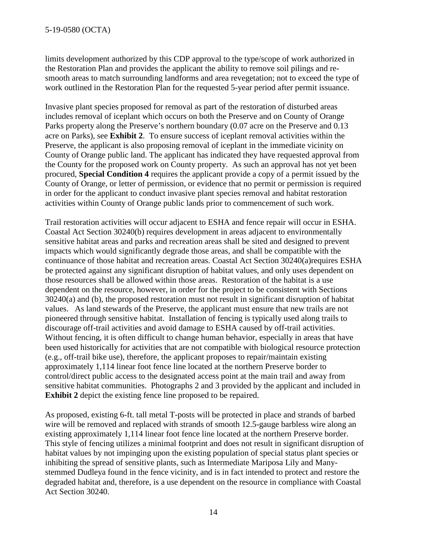limits development authorized by this CDP approval to the type/scope of work authorized in the Restoration Plan and provides the applicant the ability to remove soil pilings and resmooth areas to match surrounding landforms and area revegetation; not to exceed the type of work outlined in the Restoration Plan for the requested 5-year period after permit issuance.

Invasive plant species proposed for removal as part of the restoration of disturbed areas includes removal of iceplant which occurs on both the Preserve and on County of Orange Parks property along the Preserve's northern boundary (0.07 acre on the Preserve and 0.13 acre on Parks), see **[Exhibit 2](https://documents.coastal.ca.gov/reports/2019/9/W26b/W26b-9-2019-exhibits.pdf)**. To ensure success of iceplant removal activities within the Preserve, the applicant is also proposing removal of iceplant in the immediate vicinity on County of Orange public land. The applicant has indicated they have requested approval from the County for the proposed work on County property. As such an approval has not yet been procured, **Special Condition 4** requires the applicant provide a copy of a permit issued by the County of Orange, or letter of permission, or evidence that no permit or permission is required in order for the applicant to conduct invasive plant species removal and habitat restoration activities within County of Orange public lands prior to commencement of such work.

Trail restoration activities will occur adjacent to ESHA and fence repair will occur in ESHA. Coastal Act Section 30240(b) requires development in areas adjacent to environmentally sensitive habitat areas and parks and recreation areas shall be sited and designed to prevent impacts which would significantly degrade those areas, and shall be compatible with the continuance of those habitat and recreation areas. Coastal Act Section 30240(a)requires ESHA be protected against any significant disruption of habitat values, and only uses dependent on those resources shall be allowed within those areas. Restoration of the habitat is a use dependent on the resource, however, in order for the project to be consistent with Sections 30240(a) and (b), the proposed restoration must not result in significant disruption of habitat values. As land stewards of the Preserve, the applicant must ensure that new trails are not pioneered through sensitive habitat. Installation of fencing is typically used along trails to discourage off-trail activities and avoid damage to ESHA caused by off-trail activities. Without fencing, it is often difficult to change human behavior, especially in areas that have been used historically for activities that are not compatible with biological resource protection (e.g., off-trail bike use), therefore, the applicant proposes to repair/maintain existing approximately 1,114 linear foot fence line located at the northern Preserve border to control/direct public access to the designated access point at the main trail and away from sensitive habitat communities. Photographs 2 and 3 provided by the applicant and included in **[Exhibit 2](https://documents.coastal.ca.gov/reports/2019/9/W26b/W26b-9-2019-exhibits.pdf)** depict the existing fence line proposed to be repaired.

As proposed, existing 6-ft. tall metal T-posts will be protected in place and strands of barbed wire will be removed and replaced with strands of smooth 12.5-gauge barbless wire along an existing approximately 1,114 linear foot fence line located at the northern Preserve border. This style of fencing utilizes a minimal footprint and does not result in significant disruption of habitat values by not impinging upon the existing population of special status plant species or inhibiting the spread of sensitive plants, such as Intermediate Mariposa Lily and Manystemmed Dudleya found in the fence vicinity, and is in fact intended to protect and restore the degraded habitat and, therefore, is a use dependent on the resource in compliance with Coastal Act Section 30240.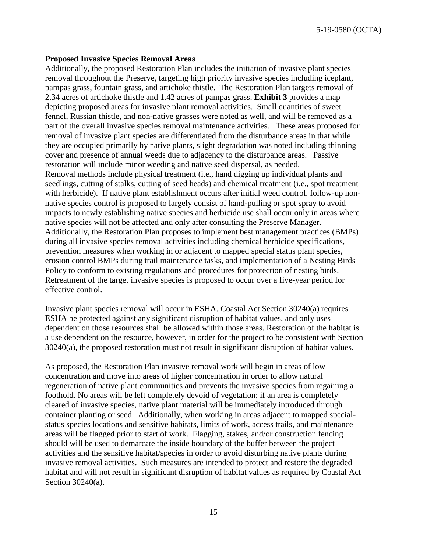5-19-0580 (OCTA)

#### **Proposed Invasive Species Removal Areas**

Additionally, the proposed Restoration Plan includes the initiation of invasive plant species removal throughout the Preserve, targeting high priority invasive species including iceplant, pampas grass, fountain grass, and artichoke thistle. The Restoration Plan targets removal of 2.34 acres of artichoke thistle and 1.42 acres of pampas grass. **[Exhibit 3](https://documents.coastal.ca.gov/reports/2019/9/W26b/W26b-9-2019-exhibits.pdf)** provides a map depicting proposed areas for invasive plant removal activities. Small quantities of sweet fennel, Russian thistle, and non-native grasses were noted as well, and will be removed as a part of the overall invasive species removal maintenance activities. These areas proposed for removal of invasive plant species are differentiated from the disturbance areas in that while they are occupied primarily by native plants, slight degradation was noted including thinning cover and presence of annual weeds due to adjacency to the disturbance areas. Passive restoration will include minor weeding and native seed dispersal, as needed. Removal methods include physical treatment (i.e., hand digging up individual plants and seedlings, cutting of stalks, cutting of seed heads) and chemical treatment (i.e., spot treatment with herbicide). If native plant establishment occurs after initial weed control, follow-up nonnative species control is proposed to largely consist of hand-pulling or spot spray to avoid impacts to newly establishing native species and herbicide use shall occur only in areas where native species will not be affected and only after consulting the Preserve Manager. Additionally, the Restoration Plan proposes to implement best management practices (BMPs) during all invasive species removal activities including chemical herbicide specifications, prevention measures when working in or adjacent to mapped special status plant species, erosion control BMPs during trail maintenance tasks, and implementation of a Nesting Birds Policy to conform to existing regulations and procedures for protection of nesting birds. Retreatment of the target invasive species is proposed to occur over a five-year period for effective control.

Invasive plant species removal will occur in ESHA. Coastal Act Section 30240(a) requires ESHA be protected against any significant disruption of habitat values, and only uses dependent on those resources shall be allowed within those areas. Restoration of the habitat is a use dependent on the resource, however, in order for the project to be consistent with Section 30240(a), the proposed restoration must not result in significant disruption of habitat values.

As proposed, the Restoration Plan invasive removal work will begin in areas of low concentration and move into areas of higher concentration in order to allow natural regeneration of native plant communities and prevents the invasive species from regaining a foothold. No areas will be left completely devoid of vegetation; if an area is completely cleared of invasive species, native plant material will be immediately introduced through container planting or seed. Additionally, when working in areas adjacent to mapped specialstatus species locations and sensitive habitats, limits of work, access trails, and maintenance areas will be flagged prior to start of work. Flagging, stakes, and/or construction fencing should will be used to demarcate the inside boundary of the buffer between the project activities and the sensitive habitat/species in order to avoid disturbing native plants during invasive removal activities. Such measures are intended to protect and restore the degraded habitat and will not result in significant disruption of habitat values as required by Coastal Act Section 30240(a).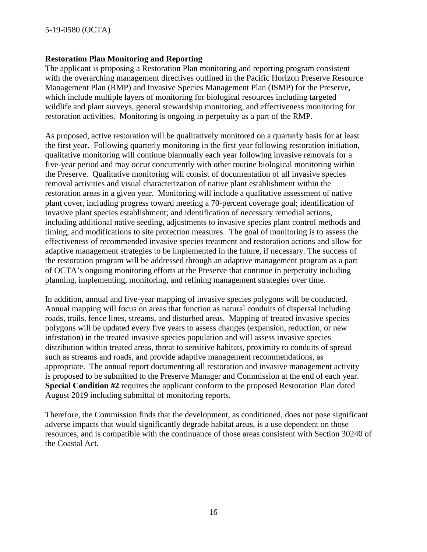### **Restoration Plan Monitoring and Reporting**

The applicant is proposing a Restoration Plan monitoring and reporting program consistent with the overarching management directives outlined in the Pacific Horizon Preserve Resource Management Plan (RMP) and Invasive Species Management Plan (ISMP) for the Preserve, which include multiple layers of monitoring for biological resources including targeted wildlife and plant surveys, general stewardship monitoring, and effectiveness monitoring for restoration activities. Monitoring is ongoing in perpetuity as a part of the RMP.

As proposed, active restoration will be qualitatively monitored on a quarterly basis for at least the first year. Following quarterly monitoring in the first year following restoration initiation, qualitative monitoring will continue biannually each year following invasive removals for a five-year period and may occur concurrently with other routine biological monitoring within the Preserve. Qualitative monitoring will consist of documentation of all invasive species removal activities and visual characterization of native plant establishment within the restoration areas in a given year. Monitoring will include a qualitative assessment of native plant cover, including progress toward meeting a 70-percent coverage goal; identification of invasive plant species establishment; and identification of necessary remedial actions, including additional native seeding, adjustments to invasive species plant control methods and timing, and modifications to site protection measures. The goal of monitoring is to assess the effectiveness of recommended invasive species treatment and restoration actions and allow for adaptive management strategies to be implemented in the future, if necessary. The success of the restoration program will be addressed through an adaptive management program as a part of OCTA's ongoing monitoring efforts at the Preserve that continue in perpetuity including planning, implementing, monitoring, and refining management strategies over time.

In addition, annual and five-year mapping of invasive species polygons will be conducted. Annual mapping will focus on areas that function as natural conduits of dispersal including roads, trails, fence lines, streams, and disturbed areas. Mapping of treated invasive species polygons will be updated every five years to assess changes (expansion, reduction, or new infestation) in the treated invasive species population and will assess invasive species distribution within treated areas, threat to sensitive habitats, proximity to conduits of spread such as streams and roads, and provide adaptive management recommendations, as appropriate. The annual report documenting all restoration and invasive management activity is proposed to be submitted to the Preserve Manager and Commission at the end of each year. **Special Condition #2** requires the applicant conform to the proposed Restoration Plan dated August 2019 including submittal of monitoring reports.

Therefore, the Commission finds that the development, as conditioned, does not pose significant adverse impacts that would significantly degrade habitat areas, is a use dependent on those resources, and is compatible with the continuance of those areas consistent with Section 30240 of the Coastal Act.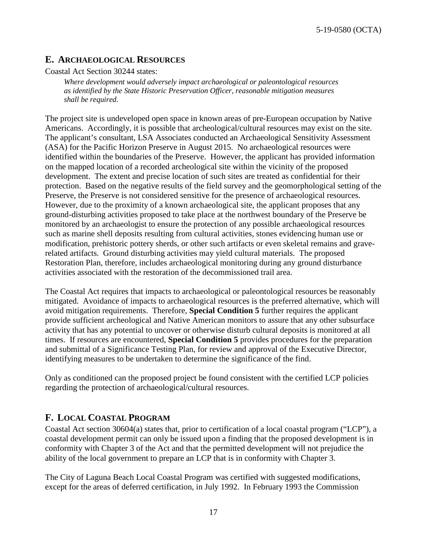## <span id="page-16-0"></span>**E. ARCHAEOLOGICAL RESOURCES**

Coastal Act Section 30244 states:

*Where development would adversely impact archaeological or paleontological resources as identified by the State Historic Preservation Officer, reasonable mitigation measures shall be required.*

The project site is undeveloped open space in known areas of pre-European occupation by Native Americans. Accordingly, it is possible that archeological/cultural resources may exist on the site. The applicant's consultant, LSA Associates conducted an Archaeological Sensitivity Assessment (ASA) for the Pacific Horizon Preserve in August 2015. No archaeological resources were identified within the boundaries of the Preserve. However, the applicant has provided information on the mapped location of a recorded archeological site within the vicinity of the proposed development. The extent and precise location of such sites are treated as confidential for their protection. Based on the negative results of the field survey and the geomorphological setting of the Preserve, the Preserve is not considered sensitive for the presence of archaeological resources. However, due to the proximity of a known archaeological site, the applicant proposes that any ground-disturbing activities proposed to take place at the northwest boundary of the Preserve be monitored by an archaeologist to ensure the protection of any possible archaeological resources such as marine shell deposits resulting from cultural activities, stones evidencing human use or modification, prehistoric pottery sherds, or other such artifacts or even skeletal remains and graverelated artifacts. Ground disturbing activities may yield cultural materials. The proposed Restoration Plan, therefore, includes archaeological monitoring during any ground disturbance activities associated with the restoration of the decommissioned trail area.

The Coastal Act requires that impacts to archaeological or paleontological resources be reasonably mitigated. Avoidance of impacts to archaeological resources is the preferred alternative, which will avoid mitigation requirements. Therefore, **Special Condition 5** further requires the applicant provide sufficient archeological and Native American monitors to assure that any other subsurface activity that has any potential to uncover or otherwise disturb cultural deposits is monitored at all times. If resources are encountered, **Special Condition 5** provides procedures for the preparation and submittal of a Significance Testing Plan, for review and approval of the Executive Director, identifying measures to be undertaken to determine the significance of the find.

Only as conditioned can the proposed project be found consistent with the certified LCP policies regarding the protection of archaeological/cultural resources.

## <span id="page-16-1"></span>**F. LOCAL COASTAL PROGRAM**

Coastal Act section 30604(a) states that, prior to certification of a local coastal program ("LCP"), a coastal development permit can only be issued upon a finding that the proposed development is in conformity with Chapter 3 of the Act and that the permitted development will not prejudice the ability of the local government to prepare an LCP that is in conformity with Chapter 3.

The City of Laguna Beach Local Coastal Program was certified with suggested modifications, except for the areas of deferred certification, in July 1992. In February 1993 the Commission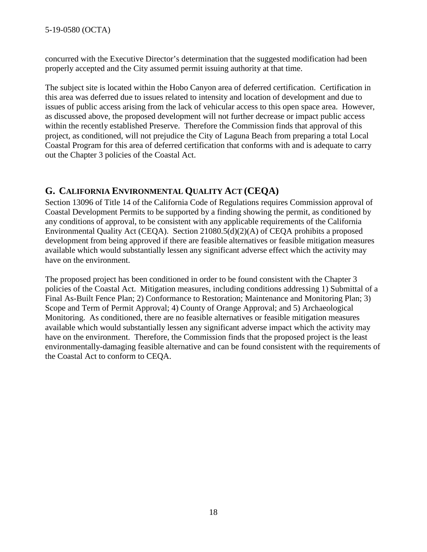concurred with the Executive Director's determination that the suggested modification had been properly accepted and the City assumed permit issuing authority at that time.

The subject site is located within the Hobo Canyon area of deferred certification. Certification in this area was deferred due to issues related to intensity and location of development and due to issues of public access arising from the lack of vehicular access to this open space area. However, as discussed above, the proposed development will not further decrease or impact public access within the recently established Preserve. Therefore the Commission finds that approval of this project, as conditioned, will not prejudice the City of Laguna Beach from preparing a total Local Coastal Program for this area of deferred certification that conforms with and is adequate to carry out the Chapter 3 policies of the Coastal Act.

## <span id="page-17-0"></span>**G. CALIFORNIA ENVIRONMENTAL QUALITY ACT (CEQA)**

Section 13096 of Title 14 of the California Code of Regulations requires Commission approval of Coastal Development Permits to be supported by a finding showing the permit, as conditioned by any conditions of approval, to be consistent with any applicable requirements of the California Environmental Quality Act (CEQA). Section 21080.5(d)(2)(A) of CEQA prohibits a proposed development from being approved if there are feasible alternatives or feasible mitigation measures available which would substantially lessen any significant adverse effect which the activity may have on the environment.

The proposed project has been conditioned in order to be found consistent with the Chapter 3 policies of the Coastal Act. Mitigation measures, including conditions addressing 1) Submittal of a Final As-Built Fence Plan; 2) Conformance to Restoration; Maintenance and Monitoring Plan; 3) Scope and Term of Permit Approval; 4) County of Orange Approval; and 5) Archaeological Monitoring. As conditioned, there are no feasible alternatives or feasible mitigation measures available which would substantially lessen any significant adverse impact which the activity may have on the environment. Therefore, the Commission finds that the proposed project is the least environmentally-damaging feasible alternative and can be found consistent with the requirements of the Coastal Act to conform to CEQA.